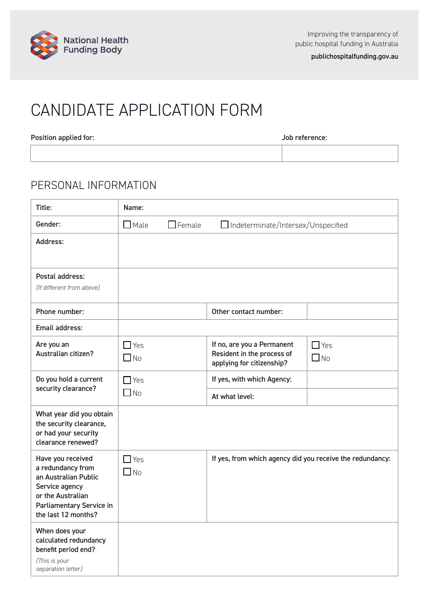

# CANDIDATE APPLICATION FORM

Position applied for:  $\qquad \qquad$  Dob reference:

### PERSONAL INFORMATION

| Title:                                                                                                                                                   | Name:                   |                |                                                                                       |                            |
|----------------------------------------------------------------------------------------------------------------------------------------------------------|-------------------------|----------------|---------------------------------------------------------------------------------------|----------------------------|
| Gender:                                                                                                                                                  | $\Box$ Male             | $\Box$ Female  | Indeterminate/Intersex/Unspecified                                                    |                            |
| Address:                                                                                                                                                 |                         |                |                                                                                       |                            |
| Postal address:<br>(If different from above)                                                                                                             |                         |                |                                                                                       |                            |
| Phone number:                                                                                                                                            |                         |                | Other contact number:                                                                 |                            |
| Email address:                                                                                                                                           |                         |                |                                                                                       |                            |
| Are you an<br>Australian citizen?                                                                                                                        | $\Box$ Yes<br>$\Box$ No |                | If no, are you a Permanent<br>Resident in the process of<br>applying for citizenship? | $\Box$ Yes<br>$\square$ No |
| Do you hold a current                                                                                                                                    | $\Box$ Yes              |                | If yes, with which Agency:                                                            |                            |
| security clearance?                                                                                                                                      | $\Box$ No               | At what level: |                                                                                       |                            |
| What year did you obtain<br>the security clearance,<br>or had your security<br>clearance renewed?                                                        |                         |                |                                                                                       |                            |
| Have you received<br>a redundancy from<br>an Australian Public<br>Service agency<br>or the Australian<br>Parliamentary Service in<br>the last 12 months? | $\Box$ Yes<br>$\Box$ No |                | If yes, from which agency did you receive the redundancy:                             |                            |
| When does your<br>calculated redundancy<br>benefit period end?<br>(This is your<br>separation letter)                                                    |                         |                |                                                                                       |                            |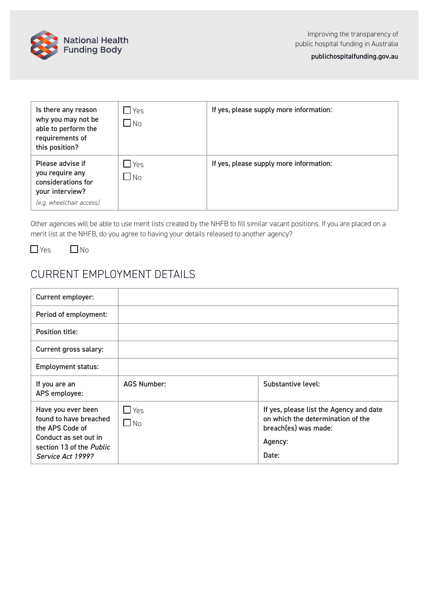

| Is there any reason<br>why you may not be<br>able to perform the<br>requirements of<br>this position?    | $\sqcup$ Yes<br>$\Box$ No | If yes, please supply more information: |
|----------------------------------------------------------------------------------------------------------|---------------------------|-----------------------------------------|
| Please advise if<br>you require any<br>considerations for<br>your interview?<br>(e.g. wheelchair access) | <u>I</u> Yes<br>$\Box$ No | If yes, please supply more information: |

Other agencies will be able to use merit lists created by the NHFB to fill similar vacant positions. If you are placed on a merit list at the NHFB, do you agree to having your details released to another agency?

 $\Box$  Yes  $\Box$  No

### CURRENT EMPLOYMENT DETAILS

| <b>Current employer:</b>                                                                                                                  |                         |                                                                                                                          |
|-------------------------------------------------------------------------------------------------------------------------------------------|-------------------------|--------------------------------------------------------------------------------------------------------------------------|
| Period of employment:                                                                                                                     |                         |                                                                                                                          |
| Position title:                                                                                                                           |                         |                                                                                                                          |
| Current gross salary:                                                                                                                     |                         |                                                                                                                          |
| <b>Employment status:</b>                                                                                                                 |                         |                                                                                                                          |
| If you are an<br>APS employee:                                                                                                            | <b>AGS Number:</b>      | Substantive level:                                                                                                       |
| Have you ever been<br>found to have breached<br>the APS Code of<br>Conduct as set out in<br>section 13 of the Public<br>Service Act 1999? | $\Box$ Yes<br>$\Box$ No | If yes, please list the Agency and date<br>on which the determination of the<br>breach(es) was made:<br>Agency:<br>Date: |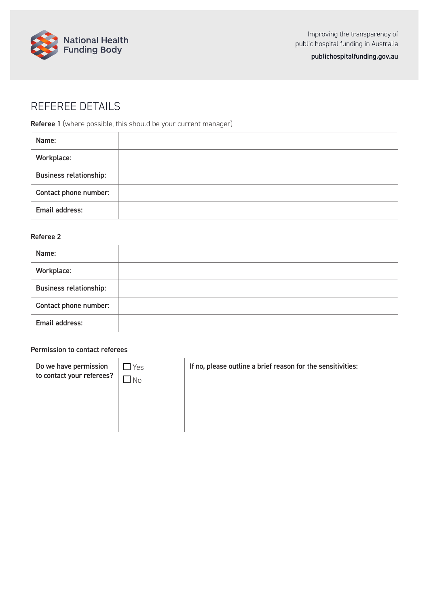

[publichospitalfunding.gov.au](https://www.publichospitalfunding.gov.au/)

## REFEREE DETAILS

Referee 1 (where possible, this should be your current manager)

| Name:                         |  |
|-------------------------------|--|
| Workplace:                    |  |
| <b>Business relationship:</b> |  |
| Contact phone number:         |  |
| Email address:                |  |

### Referee 2

| Name:                         |  |
|-------------------------------|--|
| Workplace:                    |  |
| <b>Business relationship:</b> |  |
| Contact phone number:         |  |
| Email address:                |  |

### Permission to contact referees

| Do we have permission<br>to contact your referees? | Yes<br>No | If no, please outline a brief reason for the sensitivities: |
|----------------------------------------------------|-----------|-------------------------------------------------------------|
|                                                    |           |                                                             |
|                                                    |           |                                                             |